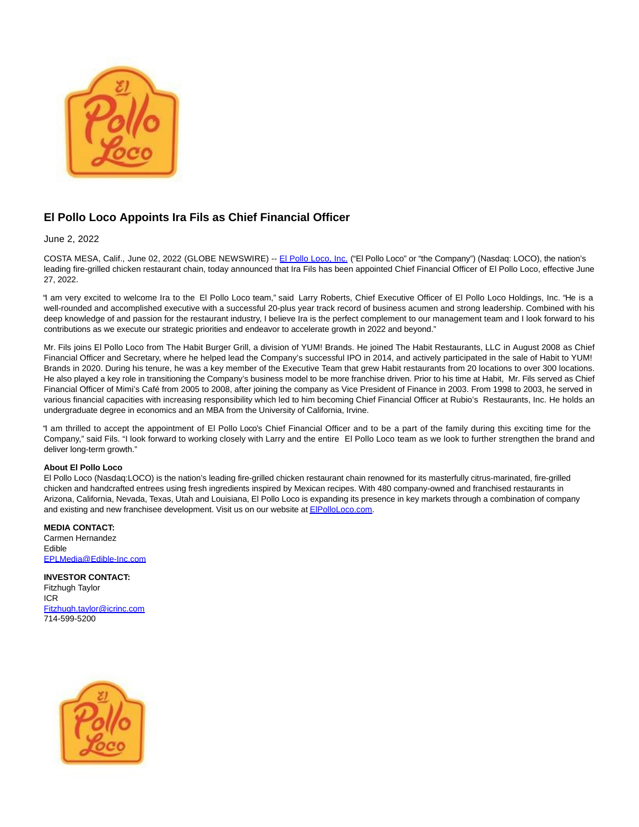

## **El Pollo Loco Appoints Ira Fils as Chief Financial Officer**

June 2, 2022

COSTA MESA, Calif., June 02, 2022 (GLOBE NEWSWIRE) -- [El Pollo Loco, Inc. \(](https://www.globenewswire.com/Tracker?data=7K9gHzoNdZJwZSZAME6FBAFuP2B-6Nx-KKRj_xbhizZjjYZeS3sRwXzDoqpPGXXfwd46hpSd-J5XwRaqK-eHJzriK2SDZmCKYpEtnEqZ12s=)"El Pollo Loco" or "the Company") (Nasdaq: LOCO), the nation's leading fire-grilled chicken restaurant chain, today announced that Ira Fils has been appointed Chief Financial Officer of El Pollo Loco, effective June 27, 2022.

"I am very excited to welcome Ira to the El Pollo Loco team," said Larry Roberts, Chief Executive Officer of El Pollo Loco Holdings, Inc. "He is a well-rounded and accomplished executive with a successful 20-plus year track record of business acumen and strong leadership. Combined with his deep knowledge of and passion for the restaurant industry, I believe Ira is the perfect complement to our management team and I look forward to his contributions as we execute our strategic priorities and endeavor to accelerate growth in 2022 and beyond."

Mr. Fils joins El Pollo Loco from The Habit Burger Grill, a division of YUM! Brands. He joined The Habit Restaurants, LLC in August 2008 as Chief Financial Officer and Secretary, where he helped lead the Company's successful IPO in 2014, and actively participated in the sale of Habit to YUM! Brands in 2020. During his tenure, he was a key member of the Executive Team that grew Habit restaurants from 20 locations to over 300 locations. He also played a key role in transitioning the Company's business model to be more franchise driven. Prior to his time at Habit, Mr. Fils served as Chief Financial Officer of Mimi's Café from 2005 to 2008, after joining the company as Vice President of Finance in 2003. From 1998 to 2003, he served in various financial capacities with increasing responsibility which led to him becoming Chief Financial Officer at Rubio's Restaurants, Inc. He holds an undergraduate degree in economics and an MBA from the University of California, Irvine.

"I am thrilled to accept the appointment of El Pollo Loco's Chief Financial Officer and to be a part of the family during this exciting time for the Company," said Fils. "I look forward to working closely with Larry and the entire El Pollo Loco team as we look to further strengthen the brand and deliver long-term growth."

## **About El Pollo Loco**

El Pollo Loco (Nasdaq:LOCO) is the nation's leading fire-grilled chicken restaurant chain renowned for its masterfully citrus-marinated, fire-grilled chicken and handcrafted entrees using fresh ingredients inspired by Mexican recipes. With 480 company-owned and franchised restaurants in Arizona, California, Nevada, Texas, Utah and Louisiana, El Pollo Loco is expanding its presence in key markets through a combination of company and existing and new franchisee development. Visit us on our website at **EIPolloLoco.com**.

## **MEDIA CONTACT:**

Carmen Hernandez Edible [EPLMedia@Edible-Inc.com](https://www.globenewswire.com/Tracker?data=1khWLaDImPappCTaVIAqBiNzs3s5AxbrLZFc40v4-lzvetrUHAadzl_xgn5fy6EvDV6WrsbklZnYZlt_fnbqeP2SeWB56gxHhSMuTAckFeg=)

**INVESTOR CONTACT:** Fitzhugh Taylor ICR [Fitzhugh.taylor@icrinc.com](https://www.globenewswire.com/Tracker?data=QigojyrsfUcLoBaDMtbYoVS-n4KUfwviaM3hFDSEHiQFoJMqvM3YfccwaFrOiGvBBLt1Z7Vr9iiqroXzvKo0107q1S09bcs8QcKKUJC4pz-e9r1JMpJAA3pjqHpKJlm8) 714-599-5200